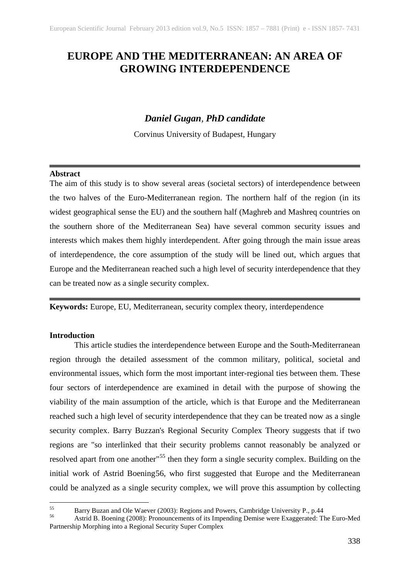# **EUROPE AND THE MEDITERRANEAN: AN AREA OF GROWING INTERDEPENDENCE**

# *Daniel Gugan, PhD candidate*

Corvinus University of Budapest, Hungary

# **Abstract**

The aim of this study is to show several areas (societal sectors) of interdependence between the two halves of the Euro-Mediterranean region. The northern half of the region (in its widest geographical sense the EU) and the southern half (Maghreb and Mashreq countries on the southern shore of the Mediterranean Sea) have several common security issues and interests which makes them highly interdependent. After going through the main issue areas of interdependence, the core assumption of the study will be lined out, which argues that Europe and the Mediterranean reached such a high level of security interdependence that they can be treated now as a single security complex.

**Keywords:** Europe, EU, Mediterranean, security complex theory, interdependence

# **Introduction**

This article studies the interdependence between Europe and the South-Mediterranean region through the detailed assessment of the common military, political, societal and environmental issues, which form the most important inter-regional ties between them. These four sectors of interdependence are examined in detail with the purpose of showing the viability of the main assumption of the article, which is that Europe and the Mediterranean reached such a high level of security interdependence that they can be treated now as a single security complex. Barry Buzzan's Regional Security Complex Theory suggests that if two regions are "so interlinked that their security problems cannot reasonably be analyzed or resolved apart from one another<sup>1[55](#page-0-0)</sup> then they form a single security complex. Building on the initial work of Astrid Boening[56,](#page-0-1) who first suggested that Europe and the Mediterranean could be analyzed as a single security complex, we will prove this assumption by collecting

<span id="page-0-1"></span>

<span id="page-0-0"></span><sup>&</sup>lt;sup>55</sup> Barry Buzan and Ole Waever (2003): Regions and Powers, Cambridge University P., p.44 Astrid B. Boening (2008): Pronouncements of its Impending Demise were Exaggerated: The Euro-Med Partnership Morphing into a Regional Security Super Complex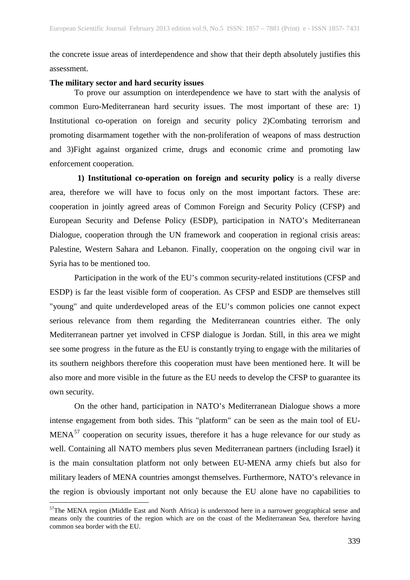the concrete issue areas of interdependence and show that their depth absolutely justifies this assessment.

#### **The military sector and hard security issues**

To prove our assumption on interdependence we have to start with the analysis of common Euro-Mediterranean hard security issues. The most important of these are: 1) Institutional co-operation on foreign and security policy 2)Combating terrorism and promoting disarmament together with the non-proliferation of weapons of mass destruction and 3)Fight against organized crime, drugs and economic crime and promoting law enforcement cooperation.

**1) Institutional co-operation on foreign and security policy** is a really diverse area, therefore we will have to focus only on the most important factors. These are: cooperation in jointly agreed areas of Common Foreign and Security Policy (CFSP) and European Security and Defense Policy (ESDP), participation in NATO's Mediterranean Dialogue, cooperation through the UN framework and cooperation in regional crisis areas: Palestine, Western Sahara and Lebanon. Finally, cooperation on the ongoing civil war in Syria has to be mentioned too.

Participation in the work of the EU's common security-related institutions (CFSP and ESDP) is far the least visible form of cooperation. As CFSP and ESDP are themselves still "young" and quite underdeveloped areas of the EU's common policies one cannot expect serious relevance from them regarding the Mediterranean countries either. The only Mediterranean partner yet involved in CFSP dialogue is Jordan. Still, in this area we might see some progress in the future as the EU is constantly trying to engage with the militaries of its southern neighbors therefore this cooperation must have been mentioned here. It will be also more and more visible in the future as the EU needs to develop the CFSP to guarantee its own security.

On the other hand, participation in NATO's Mediterranean Dialogue shows a more intense engagement from both sides. This "platform" can be seen as the main tool of EU- $MENA<sup>57</sup>$  $MENA<sup>57</sup>$  $MENA<sup>57</sup>$  cooperation on security issues, therefore it has a huge relevance for our study as well. Containing all NATO members plus seven Mediterranean partners (including Israel) it is the main consultation platform not only between EU-MENA army chiefs but also for military leaders of MENA countries amongst themselves. Furthermore, NATO's relevance in the region is obviously important not only because the EU alone have no capabilities to

<span id="page-1-0"></span><sup>&</sup>lt;sup>57</sup>The MENA region (Middle East and North Africa) is understood here in a narrower geographical sense and means only the countries of the region which are on the coast of the Mediterranean Sea, therefore having common sea border with the EU.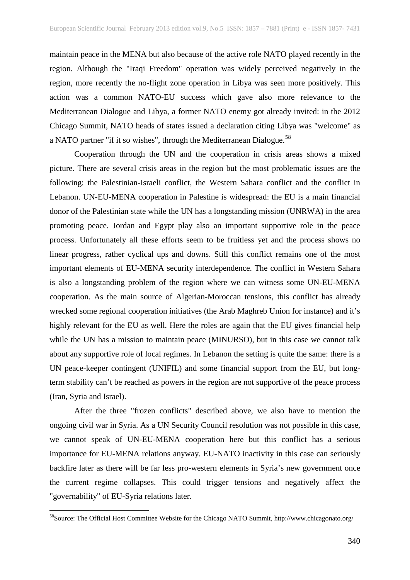maintain peace in the MENA but also because of the active role NATO played recently in the region. Although the "Iraqi Freedom" operation was widely perceived negatively in the region, more recently the no-flight zone operation in Libya was seen more positively. This action was a common NATO-EU success which gave also more relevance to the Mediterranean Dialogue and Libya, a former NATO enemy got already invited: in the 2012 Chicago Summit, NATO heads of states issued a declaration citing Libya was "welcome" as a NATO partner "if it so wishes", through the Mediterranean Dialogue.<sup>[58](#page-2-0)</sup>

Cooperation through the UN and the cooperation in crisis areas shows a mixed picture. There are several crisis areas in the region but the most problematic issues are the following: the Palestinian-Israeli conflict, the Western Sahara conflict and the conflict in Lebanon. UN-EU-MENA cooperation in Palestine is widespread: the EU is a main financial donor of the Palestinian state while the UN has a longstanding mission (UNRWA) in the area promoting peace. Jordan and Egypt play also an important supportive role in the peace process. Unfortunately all these efforts seem to be fruitless yet and the process shows no linear progress, rather cyclical ups and downs. Still this conflict remains one of the most important elements of EU-MENA security interdependence. The conflict in Western Sahara is also a longstanding problem of the region where we can witness some UN-EU-MENA cooperation. As the main source of Algerian-Moroccan tensions, this conflict has already wrecked some regional cooperation initiatives (the Arab Maghreb Union for instance) and it's highly relevant for the EU as well. Here the roles are again that the EU gives financial help while the UN has a mission to maintain peace (MINURSO), but in this case we cannot talk about any supportive role of local regimes. In Lebanon the setting is quite the same: there is a UN peace-keeper contingent (UNIFIL) and some financial support from the EU, but longterm stability can't be reached as powers in the region are not supportive of the peace process (Iran, Syria and Israel).

After the three "frozen conflicts" described above, we also have to mention the ongoing civil war in Syria. As a UN Security Council resolution was not possible in this case, we cannot speak of UN-EU-MENA cooperation here but this conflict has a serious importance for EU-MENA relations anyway. EU-NATO inactivity in this case can seriously backfire later as there will be far less pro-western elements in Syria's new government once the current regime collapses. This could trigger tensions and negatively affect the "governability" of EU-Syria relations later.

<span id="page-2-0"></span> <sup>58</sup>Source: The Official Host Committee Website for the Chicago NATO Summit, http://www.chicagonato.org/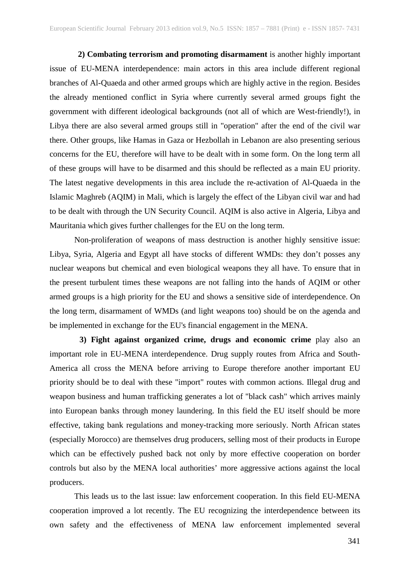**2) Combating terrorism and promoting disarmament** is another highly important issue of EU-MENA interdependence: main actors in this area include different regional branches of Al-Quaeda and other armed groups which are highly active in the region. Besides the already mentioned conflict in Syria where currently several armed groups fight the government with different ideological backgrounds (not all of which are West-friendly!), in Libya there are also several armed groups still in "operation" after the end of the civil war there. Other groups, like Hamas in Gaza or Hezbollah in Lebanon are also presenting serious concerns for the EU, therefore will have to be dealt with in some form. On the long term all of these groups will have to be disarmed and this should be reflected as a main EU priority. The latest negative developments in this area include the re-activation of Al-Quaeda in the Islamic Maghreb (AQIM) in Mali, which is largely the effect of the Libyan civil war and had to be dealt with through the UN Security Council. AQIM is also active in Algeria, Libya and Mauritania which gives further challenges for the EU on the long term.

Non-proliferation of weapons of mass destruction is another highly sensitive issue: Libya, Syria, Algeria and Egypt all have stocks of different WMDs: they don't posses any nuclear weapons but chemical and even biological weapons they all have. To ensure that in the present turbulent times these weapons are not falling into the hands of AQIM or other armed groups is a high priority for the EU and shows a sensitive side of interdependence. On the long term, disarmament of WMDs (and light weapons too) should be on the agenda and be implemented in exchange for the EU's financial engagement in the MENA.

**3) Fight against organized crime, drugs and economic crime** play also an important role in EU-MENA interdependence. Drug supply routes from Africa and South-America all cross the MENA before arriving to Europe therefore another important EU priority should be to deal with these "import" routes with common actions. Illegal drug and weapon business and human trafficking generates a lot of "black cash" which arrives mainly into European banks through money laundering. In this field the EU itself should be more effective, taking bank regulations and money-tracking more seriously. North African states (especially Morocco) are themselves drug producers, selling most of their products in Europe which can be effectively pushed back not only by more effective cooperation on border controls but also by the MENA local authorities' more aggressive actions against the local producers.

This leads us to the last issue: law enforcement cooperation. In this field EU-MENA cooperation improved a lot recently. The EU recognizing the interdependence between its own safety and the effectiveness of MENA law enforcement implemented several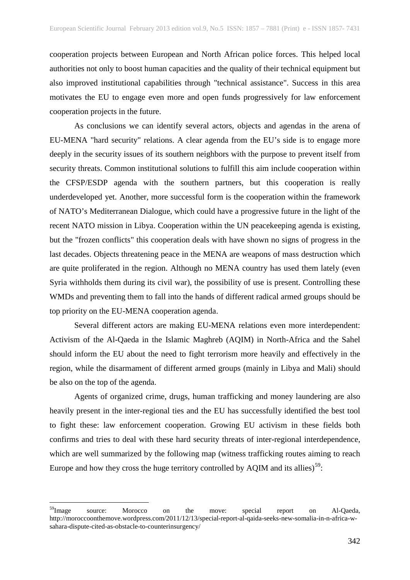cooperation projects between European and North African police forces. This helped local authorities not only to boost human capacities and the quality of their technical equipment but also improved institutional capabilities through "technical assistance". Success in this area motivates the EU to engage even more and open funds progressively for law enforcement cooperation projects in the future.

As conclusions we can identify several actors, objects and agendas in the arena of EU-MENA "hard security" relations. A clear agenda from the EU's side is to engage more deeply in the security issues of its southern neighbors with the purpose to prevent itself from security threats. Common institutional solutions to fulfill this aim include cooperation within the CFSP/ESDP agenda with the southern partners, but this cooperation is really underdeveloped yet. Another, more successful form is the cooperation within the framework of NATO's Mediterranean Dialogue, which could have a progressive future in the light of the recent NATO mission in Libya. Cooperation within the UN peacekeeping agenda is existing, but the "frozen conflicts" this cooperation deals with have shown no signs of progress in the last decades. Objects threatening peace in the MENA are weapons of mass destruction which are quite proliferated in the region. Although no MENA country has used them lately (even Syria withholds them during its civil war), the possibility of use is present. Controlling these WMDs and preventing them to fall into the hands of different radical armed groups should be top priority on the EU-MENA cooperation agenda.

Several different actors are making EU-MENA relations even more interdependent: Activism of the Al-Qaeda in the Islamic Maghreb (AQIM) in North-Africa and the Sahel should inform the EU about the need to fight terrorism more heavily and effectively in the region, while the disarmament of different armed groups (mainly in Libya and Mali) should be also on the top of the agenda.

Agents of organized crime, drugs, human trafficking and money laundering are also heavily present in the inter-regional ties and the EU has successfully identified the best tool to fight these: law enforcement cooperation. Growing EU activism in these fields both confirms and tries to deal with these hard security threats of inter-regional interdependence, which are well summarized by the following map (witness trafficking routes aiming to reach Europe and how they cross the huge territory controlled by AQIM and its allies)<sup>[59](#page-4-0)</sup>:

<span id="page-4-0"></span><sup>&</sup>lt;sup>59</sup>Image source: Morocco on the move: special report on Al-Qaeda, http://moroccoonthemove.wordpress.com/2011/12/13/special-report-al-qaida-seeks-new-somalia-in-n-africa-wsahara-dispute-cited-as-obstacle-to-counterinsurgency/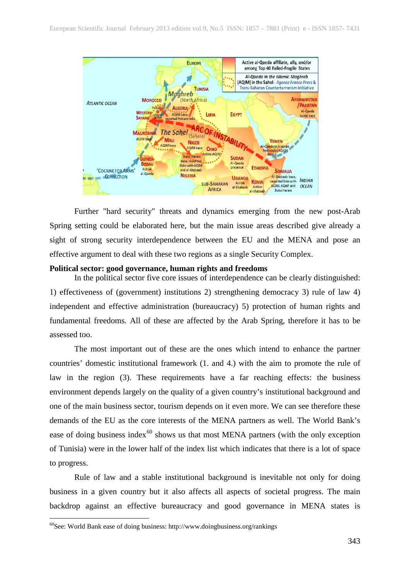

Further "hard security" threats and dynamics emerging from the new post-Arab Spring setting could be elaborated here, but the main issue areas described give already a sight of strong security interdependence between the EU and the MENA and pose an effective argument to deal with these two regions as a single Security Complex.

#### **Political sector: good governance, human rights and freedoms**

In the political sector five core issues of interdependence can be clearly distinguished: 1) effectiveness of (government) institutions 2) strengthening democracy 3) rule of law 4) independent and effective administration (bureaucracy) 5) protection of human rights and fundamental freedoms. All of these are affected by the Arab Spring, therefore it has to be assessed too.

The most important out of these are the ones which intend to enhance the partner countries' domestic institutional framework (1. and 4.) with the aim to promote the rule of law in the region (3). These requirements have a far reaching effects: the business environment depends largely on the quality of a given country's institutional background and one of the main business sector, tourism depends on it even more. We can see therefore these demands of the EU as the core interests of the MENA partners as well. The World Bank's ease of doing business index $60$  shows us that most MENA partners (with the only exception of Tunisia) were in the lower half of the index list which indicates that there is a lot of space to progress.

Rule of law and a stable institutional background is inevitable not only for doing business in a given country but it also affects all aspects of societal progress. The main backdrop against an effective bureaucracy and good governance in MENA states is

<span id="page-5-0"></span> $60$ See: World Bank ease of doing business: http://www.doingbusiness.org/rankings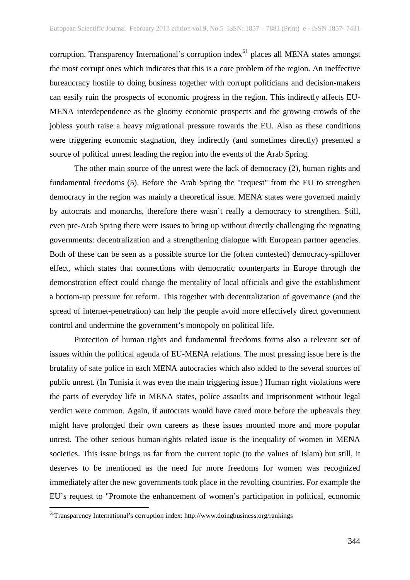corruption. Transparency International's corruption index<sup>[61](#page-6-0)</sup> places all MENA states amongst the most corrupt ones which indicates that this is a core problem of the region. An ineffective bureaucracy hostile to doing business together with corrupt politicians and decision-makers can easily ruin the prospects of economic progress in the region. This indirectly affects EU-MENA interdependence as the gloomy economic prospects and the growing crowds of the jobless youth raise a heavy migrational pressure towards the EU. Also as these conditions were triggering economic stagnation, they indirectly (and sometimes directly) presented a source of political unrest leading the region into the events of the Arab Spring.

The other main source of the unrest were the lack of democracy (2), human rights and fundamental freedoms (5). Before the Arab Spring the "request" from the EU to strengthen democracy in the region was mainly a theoretical issue. MENA states were governed mainly by autocrats and monarchs, therefore there wasn't really a democracy to strengthen. Still, even pre-Arab Spring there were issues to bring up without directly challenging the regnating governments: decentralization and a strengthening dialogue with European partner agencies. Both of these can be seen as a possible source for the (often contested) democracy-spillover effect, which states that connections with democratic counterparts in Europe through the demonstration effect could change the mentality of local officials and give the establishment a bottom-up pressure for reform. This together with decentralization of governance (and the spread of internet-penetration) can help the people avoid more effectively direct government control and undermine the government's monopoly on political life.

Protection of human rights and fundamental freedoms forms also a relevant set of issues within the political agenda of EU-MENA relations. The most pressing issue here is the brutality of sate police in each MENA autocracies which also added to the several sources of public unrest. (In Tunisia it was even the main triggering issue.) Human right violations were the parts of everyday life in MENA states, police assaults and imprisonment without legal verdict were common. Again, if autocrats would have cared more before the upheavals they might have prolonged their own careers as these issues mounted more and more popular unrest. The other serious human-rights related issue is the inequality of women in MENA societies. This issue brings us far from the current topic (to the values of Islam) but still, it deserves to be mentioned as the need for more freedoms for women was recognized immediately after the new governments took place in the revolting countries. For example the EU's request to "Promote the enhancement of women's participation in political, economic

<span id="page-6-0"></span> <sup>61</sup>Transparency International's corruption index: http://www.doingbusiness.org/rankings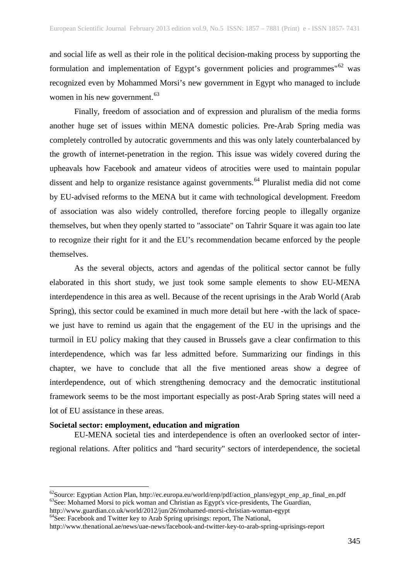and social life as well as their role in the political decision-making process by supporting the formulation and implementation of Egypt's government policies and programmes"<sup>[62](#page-7-0)</sup> was recognized even by Mohammed Morsi's new government in Egypt who managed to include women in his new government.<sup>[63](#page-7-1)</sup>

Finally, freedom of association and of expression and pluralism of the media forms another huge set of issues within MENA domestic policies. Pre-Arab Spring media was completely controlled by autocratic governments and this was only lately counterbalanced by the growth of internet-penetration in the region. This issue was widely covered during the upheavals how Facebook and amateur videos of atrocities were used to maintain popular dissent and help to organize resistance against governments.<sup>[64](#page-7-2)</sup> Pluralist media did not come by EU-advised reforms to the MENA but it came with technological development. Freedom of association was also widely controlled, therefore forcing people to illegally organize themselves, but when they openly started to "associate" on Tahrir Square it was again too late to recognize their right for it and the EU's recommendation became enforced by the people themselves.

As the several objects, actors and agendas of the political sector cannot be fully elaborated in this short study, we just took some sample elements to show EU-MENA interdependence in this area as well. Because of the recent uprisings in the Arab World (Arab Spring), this sector could be examined in much more detail but here -with the lack of spacewe just have to remind us again that the engagement of the EU in the uprisings and the turmoil in EU policy making that they caused in Brussels gave a clear confirmation to this interdependence, which was far less admitted before. Summarizing our findings in this chapter, we have to conclude that all the five mentioned areas show a degree of interdependence, out of which strengthening democracy and the democratic institutional framework seems to be the most important especially as post-Arab Spring states will need a lot of EU assistance in these areas.

#### **Societal sector: employment, education and migration**

EU-MENA societal ties and interdependence is often an overlooked sector of interregional relations. After politics and "hard security" sectors of interdependence, the societal

<span id="page-7-0"></span> <sup>62</sup>Source: Egyptian Action Plan, http://ec.europa.eu/world/enp/pdf/action\_plans/egypt\_enp\_ap\_final\_en.pdf <sup>63</sup>See: Mohamed Morsi to pick woman and Christian as Egypt's vice-presidents, The Guardian, http://www.guardian.co.uk/world/2012/jun/26/mohamed-morsi-christian-woman-egypt

<span id="page-7-1"></span> $h^4$ See: Facebook and Twitter key to Arab Spring uprisings: report, The National,

<span id="page-7-2"></span>http://www.thenational.ae/news/uae-news/facebook-and-twitter-key-to-arab-spring-uprisings-report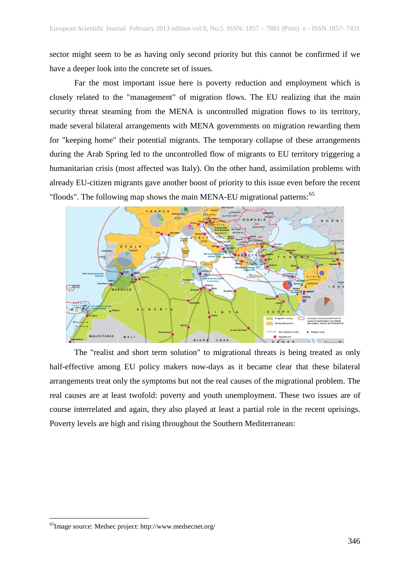sector might seem to be as having only second priority but this cannot be confirmed if we have a deeper look into the concrete set of issues.

Far the most important issue here is poverty reduction and employment which is closely related to the "management" of migration flows. The EU realizing that the main security threat steaming from the MENA is uncontrolled migration flows to its territory, made several bilateral arrangements with MENA governments on migration rewarding them for "keeping home" their potential migrants. The temporary collapse of these arrangements during the Arab Spring led to the uncontrolled flow of migrants to EU territory triggering a humanitarian crisis (most affected was Italy). On the other hand, assimilation problems with already EU-citizen migrants gave another boost of priority to this issue even before the recent "floods". The following map shows the main MENA-EU migrational patterns:<sup>[65](#page-8-0)</sup>



The "realist and short term solution" to migrational threats is being treated as only half-effective among EU policy makers now-days as it became clear that these bilateral arrangements treat only the symptoms but not the real causes of the migrational problem. The real causes are at least twofold: poverty and youth unemployment. These two issues are of course interrelated and again, they also played at least a partial role in the recent uprisings. Poverty levels are high and rising throughout the Southern Mediterranean:

<span id="page-8-0"></span> <sup>65</sup>Image source: Medsec project: http://www.medsecnet.org/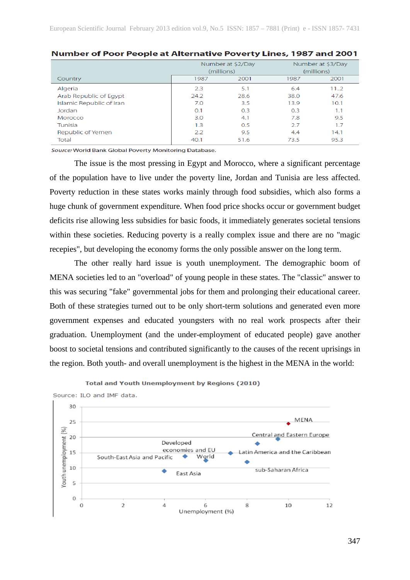|                          | Number at \$2/Day |      | Number at \$3/Day |      |
|--------------------------|-------------------|------|-------------------|------|
|                          | (millions)        |      | (millions)        |      |
| Country                  | 1987              | 2001 | 1987              | 2001 |
| Algeria                  | 2.3               | 5.1  | 6.4               | 112  |
| Arab Republic of Egypt   | 24.2              | 28.6 | 38.0              | 47.6 |
| Islamic Republic of Iran | 7.0               | 3.5  | 13.9              | 10.1 |
| Jordan                   | O.1               | 0.3  | 0.3               | 1.1  |
| Morocco                  | 3.0               | 4.1  | 7.8               | 9.5  |
| Tunisia                  | 1.3               | 0.5  | 2.7               | 1.7  |
| Republic of Yemen        | 2.2               | 9.5  | 4.4               | 14.1 |
| Total                    | 40.1              | 51.6 | 73.5              | 95.3 |

#### Number of Poor People at Alternative Poverty Lines, 1987 and 2001

Source: World Bank Global Poverty Monitoring Database.

The issue is the most pressing in Egypt and Morocco, where a significant percentage of the population have to live under the poverty line, Jordan and Tunisia are less affected. Poverty reduction in these states works mainly through food subsidies, which also forms a huge chunk of government expenditure. When food price shocks occur or government budget deficits rise allowing less subsidies for basic foods, it immediately generates societal tensions within these societies. Reducing poverty is a really complex issue and there are no "magic recepies", but developing the economy forms the only possible answer on the long term.

The other really hard issue is youth unemployment. The demographic boom of MENA societies led to an "overload" of young people in these states. The "classic" answer to this was securing "fake" governmental jobs for them and prolonging their educational career. Both of these strategies turned out to be only short-term solutions and generated even more government expenses and educated youngsters with no real work prospects after their graduation. Unemployment (and the under-employment of educated people) gave another boost to societal tensions and contributed significantly to the causes of the recent uprisings in the region. Both youth- and overall unemployment is the highest in the MENA in the world:



**Total and Youth Unemployment by Regions (2010)**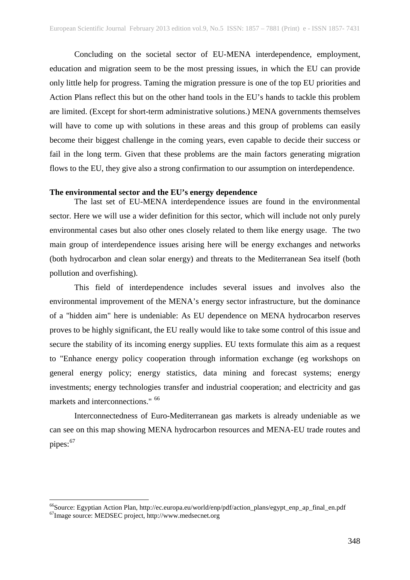Concluding on the societal sector of EU-MENA interdependence, employment, education and migration seem to be the most pressing issues, in which the EU can provide only little help for progress. Taming the migration pressure is one of the top EU priorities and Action Plans reflect this but on the other hand tools in the EU's hands to tackle this problem are limited. (Except for short-term administrative solutions.) MENA governments themselves will have to come up with solutions in these areas and this group of problems can easily become their biggest challenge in the coming years, even capable to decide their success or fail in the long term. Given that these problems are the main factors generating migration flows to the EU, they give also a strong confirmation to our assumption on interdependence.

### **The environmental sector and the EU's energy dependence**

The last set of EU-MENA interdependence issues are found in the environmental sector. Here we will use a wider definition for this sector, which will include not only purely environmental cases but also other ones closely related to them like energy usage. The two main group of interdependence issues arising here will be energy exchanges and networks (both hydrocarbon and clean solar energy) and threats to the Mediterranean Sea itself (both pollution and overfishing).

This field of interdependence includes several issues and involves also the environmental improvement of the MENA's energy sector infrastructure, but the dominance of a "hidden aim" here is undeniable: As EU dependence on MENA hydrocarbon reserves proves to be highly significant, the EU really would like to take some control of this issue and secure the stability of its incoming energy supplies. EU texts formulate this aim as a request to "Enhance energy policy cooperation through information exchange (eg workshops on general energy policy; energy statistics, data mining and forecast systems; energy investments; energy technologies transfer and industrial cooperation; and electricity and gas markets and interconnections." <sup>[66](#page-10-0)</sup>

Interconnectedness of Euro-Mediterranean gas markets is already undeniable as we can see on this map showing MENA hydrocarbon resources and MENA-EU trade routes and pipes:<sup>[67](#page-10-1)</sup>

<span id="page-10-0"></span><sup>&</sup>lt;sup>66</sup>Source: Egyptian Action Plan, http://ec.europa.eu/world/enp/pdf/action\_plans/egypt\_enp\_ap\_final\_en.pdf

<span id="page-10-1"></span><sup>67</sup>Image source: MEDSEC project, http://www.medsecnet.org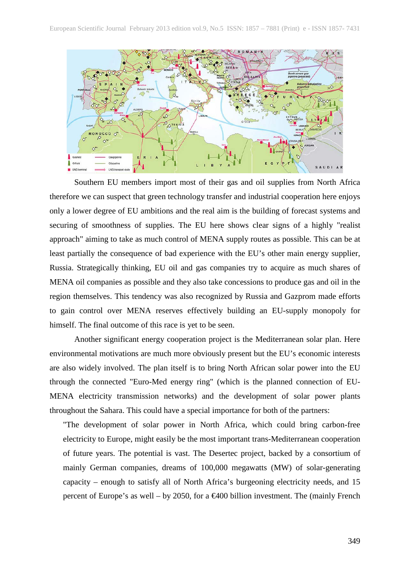

Southern EU members import most of their gas and oil supplies from North Africa therefore we can suspect that green technology transfer and industrial cooperation here enjoys only a lower degree of EU ambitions and the real aim is the building of forecast systems and securing of smoothness of supplies. The EU here shows clear signs of a highly "realist approach" aiming to take as much control of MENA supply routes as possible. This can be at least partially the consequence of bad experience with the EU's other main energy supplier, Russia. Strategically thinking, EU oil and gas companies try to acquire as much shares of MENA oil companies as possible and they also take concessions to produce gas and oil in the region themselves. This tendency was also recognized by Russia and Gazprom made efforts to gain control over MENA reserves effectively building an EU-supply monopoly for himself. The final outcome of this race is yet to be seen.

Another significant energy cooperation project is the Mediterranean solar plan. Here environmental motivations are much more obviously present but the EU's economic interests are also widely involved. The plan itself is to bring North African solar power into the EU through the connected "Euro-Med energy ring" (which is the planned connection of EU-MENA electricity transmission networks) and the development of solar power plants throughout the Sahara. This could have a special importance for both of the partners:

"The development of solar power in North Africa, which could bring carbon-free electricity to Europe, might easily be the most important trans-Mediterranean cooperation of future years. The potential is vast. The Desertec project, backed by a consortium of mainly German companies, dreams of 100,000 megawatts (MW) of solar-generating capacity – enough to satisfy all of North Africa's burgeoning electricity needs, and 15 percent of Europe's as well – by 2050, for a  $\epsilon$ 400 billion investment. The (mainly French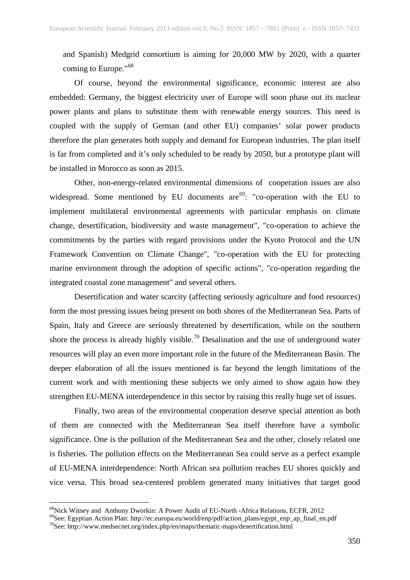and Spanish) Medgrid consortium is aiming for 20,000 MW by 2020, with a quarter coming to Europe."[68](#page-12-0)

Of course, beyond the environmental significance, economic interest are also embedded: Germany, the biggest electricity user of Europe will soon phase out its nuclear power plants and plans to substitute them with renewable energy sources. This need is coupled with the supply of German (and other EU) companies' solar power products therefore the plan generates both supply and demand for European industries. The plan itself is far from completed and it's only scheduled to be ready by 2050, but a prototype plant will be installed in Morocco as soon as 2015.

Other, non-energy-related environmental dimensions of cooperation issues are also widespread. Some mentioned by EU documents are  $69$ : "co-operation with the EU to implement multilateral environmental agreements with particular emphasis on climate change, desertification, biodiversity and waste management", "co-operation to achieve the commitments by the parties with regard provisions under the Kyoto Protocol and the UN Framework Convention on Climate Change", "co-operation with the EU for protecting marine environment through the adoption of specific actions", "co-operation regarding the integrated coastal zone management" and several others.

Desertification and water scarcity (affecting seriously agriculture and food resources) form the most pressing issues being present on both shores of the Mediterranean Sea. Parts of Spain, Italy and Greece are seriously threatened by desertification, while on the southern shore the process is already highly visible.<sup>[70](#page-12-2)</sup> Desalination and the use of underground water resources will play an even more important role in the future of the Mediterranean Basin. The deeper elaboration of all the issues mentioned is far beyond the length limitations of the current work and with mentioning these subjects we only aimed to show again how they strengthen EU-MENA interdependence in this sector by raising this really huge set of issues.

Finally, two areas of the environmental cooperation deserve special attention as both of them are connected with the Mediterranean Sea itself therefore have a symbolic significance. One is the pollution of the Mediterranean Sea and the other, closely related one is fisheries. The pollution effects on the Mediterranean Sea could serve as a perfect example of EU-MENA interdependence: North African sea pollution reaches EU shores quickly and vice versa. This broad sea-centered problem generated many initiatives that target good

<span id="page-12-0"></span><sup>&</sup>lt;sup>68</sup>Nick Witney and Anthony Dworkin: A Power Audit of EU-North -Africa Relations, ECFR, 2012  $^{69}$ See: Egyptian Action Plan: http://ec.europa.eu/world/enp/pdf/action\_plans/egypt\_enp\_ap\_final\_en.pdf

<span id="page-12-2"></span><span id="page-12-1"></span><sup>70</sup>See: http://www.medsecnet.org/index.php/en/maps/thematic-maps/desertification.html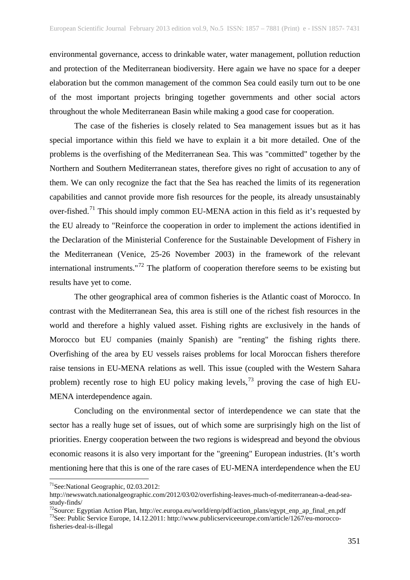environmental governance, access to drinkable water, water management, pollution reduction and protection of the Mediterranean biodiversity. Here again we have no space for a deeper elaboration but the common management of the common Sea could easily turn out to be one of the most important projects bringing together governments and other social actors throughout the whole Mediterranean Basin while making a good case for cooperation.

The case of the fisheries is closely related to Sea management issues but as it has special importance within this field we have to explain it a bit more detailed. One of the problems is the overfishing of the Mediterranean Sea. This was "committed" together by the Northern and Southern Mediterranean states, therefore gives no right of accusation to any of them. We can only recognize the fact that the Sea has reached the limits of its regeneration capabilities and cannot provide more fish resources for the people, its already unsustainably over-fished.<sup>[71](#page-13-0)</sup> This should imply common EU-MENA action in this field as it's requested by the EU already to "Reinforce the cooperation in order to implement the actions identified in the Declaration of the Ministerial Conference for the Sustainable Development of Fishery in the Mediterranean (Venice, 25-26 November 2003) in the framework of the relevant international instruments."[72](#page-13-1) The platform of cooperation therefore seems to be existing but results have yet to come.

The other geographical area of common fisheries is the Atlantic coast of Morocco. In contrast with the Mediterranean Sea, this area is still one of the richest fish resources in the world and therefore a highly valued asset. Fishing rights are exclusively in the hands of Morocco but EU companies (mainly Spanish) are "renting" the fishing rights there. Overfishing of the area by EU vessels raises problems for local Moroccan fishers therefore raise tensions in EU-MENA relations as well. This issue (coupled with the Western Sahara problem) recently rose to high EU policy making levels,  $^{73}$  $^{73}$  $^{73}$  proving the case of high EU-MENA interdependence again.

Concluding on the environmental sector of interdependence we can state that the sector has a really huge set of issues, out of which some are surprisingly high on the list of priorities. Energy cooperation between the two regions is widespread and beyond the obvious economic reasons it is also very important for the "greening" European industries. (It's worth mentioning here that this is one of the rare cases of EU-MENA interdependence when the EU

<span id="page-13-0"></span> <sup>71</sup>See:National Geographic, 02.03.2012:

http://newswatch.nationalgeographic.com/2012/03/02/overfishing-leaves-much-of-mediterranean-a-dead-sea-

<span id="page-13-1"></span>study-finds/<br><sup>72</sup>Source: Egyptian Action Plan, http://ec.europa.eu/world/enp/pdf/action\_plans/egypt\_enp\_ap\_final\_en.pdf<br><sup>73</sup>See: Public Service Europe, 14.12.2011: http://www.publicserviceeurope.com/article/1267/eu-morocco

<span id="page-13-2"></span>fisheries-deal-is-illegal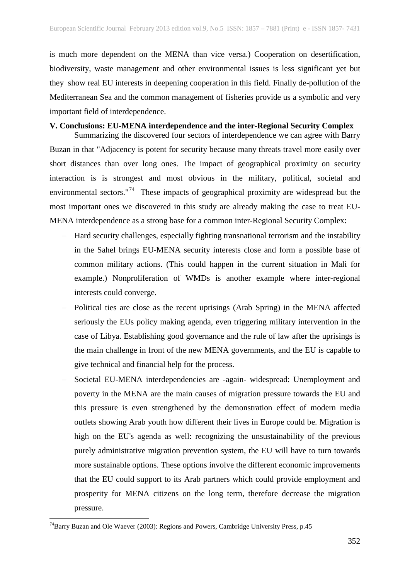is much more dependent on the MENA than vice versa.) Cooperation on desertification, biodiversity, waste management and other environmental issues is less significant yet but they show real EU interests in deepening cooperation in this field. Finally de-pollution of the Mediterranean Sea and the common management of fisheries provide us a symbolic and very important field of interdependence.

# **V. Conclusions: EU-MENA interdependence and the inter-Regional Security Complex**

Summarizing the discovered four sectors of interdependence we can agree with Barry Buzan in that "Adjacency is potent for security because many threats travel more easily over short distances than over long ones. The impact of geographical proximity on security interaction is is strongest and most obvious in the military, political, societal and environmental sectors."<sup>74</sup> These impacts of geographical proximity are widespread but the most important ones we discovered in this study are already making the case to treat EU-MENA interdependence as a strong base for a common inter-Regional Security Complex:

- − Hard security challenges, especially fighting transnational terrorism and the instability in the Sahel brings EU-MENA security interests close and form a possible base of common military actions. (This could happen in the current situation in Mali for example.) Nonproliferation of WMDs is another example where inter-regional interests could converge.
- − Political ties are close as the recent uprisings (Arab Spring) in the MENA affected seriously the EUs policy making agenda, even triggering military intervention in the case of Libya. Establishing good governance and the rule of law after the uprisings is the main challenge in front of the new MENA governments, and the EU is capable to give technical and financial help for the process.
- Societal EU-MENA interdependencies are -again- widespread: Unemployment and poverty in the MENA are the main causes of migration pressure towards the EU and this pressure is even strengthened by the demonstration effect of modern media outlets showing Arab youth how different their lives in Europe could be. Migration is high on the EU's agenda as well: recognizing the unsustainability of the previous purely administrative migration prevention system, the EU will have to turn towards more sustainable options. These options involve the different economic improvements that the EU could support to its Arab partners which could provide employment and prosperity for MENA citizens on the long term, therefore decrease the migration pressure.

<span id="page-14-0"></span> <sup>74</sup>Barry Buzan and Ole Waever (2003): Regions and Powers, Cambridge University Press, p.45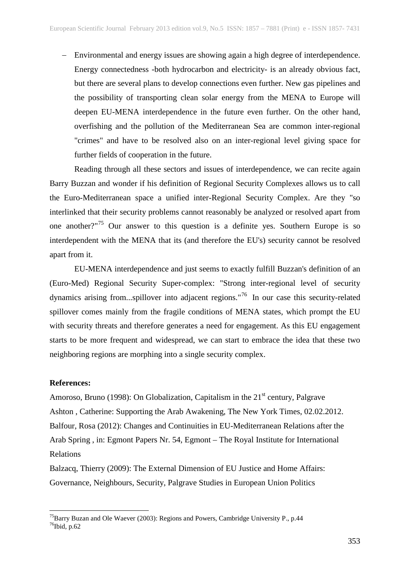− Environmental and energy issues are showing again a high degree of interdependence. Energy connectedness -both hydrocarbon and electricity- is an already obvious fact, but there are several plans to develop connections even further. New gas pipelines and the possibility of transporting clean solar energy from the MENA to Europe will deepen EU-MENA interdependence in the future even further. On the other hand, overfishing and the pollution of the Mediterranean Sea are common inter-regional "crimes" and have to be resolved also on an inter-regional level giving space for further fields of cooperation in the future.

Reading through all these sectors and issues of interdependence, we can recite again Barry Buzzan and wonder if his definition of Regional Security Complexes allows us to call the Euro-Mediterranean space a unified inter-Regional Security Complex. Are they "so interlinked that their security problems cannot reasonably be analyzed or resolved apart from one another?"[75](#page-15-0) Our answer to this question is a definite yes. Southern Europe is so interdependent with the MENA that its (and therefore the EU's) security cannot be resolved apart from it.

EU-MENA interdependence and just seems to exactly fulfill Buzzan's definition of an (Euro-Med) Regional Security Super-complex: "Strong inter-regional level of security dynamics arising from...spillover into adjacent regions."[76](#page-15-1) In our case this security-related spillover comes mainly from the fragile conditions of MENA states, which prompt the EU with security threats and therefore generates a need for engagement. As this EU engagement starts to be more frequent and widespread, we can start to embrace the idea that these two neighboring regions are morphing into a single security complex.

#### **References:**

Amoroso, Bruno (1998): On Globalization, Capitalism in the  $21<sup>st</sup>$  century, Palgrave Ashton , Catherine: Supporting the Arab Awakening, The New York Times, 02.02.2012. Balfour, Rosa (2012): Changes and Continuities in EU-Mediterranean Relations after the Arab Spring , in: Egmont Papers Nr. 54, Egmont – The Royal Institute for International Relations

Balzacq, Thierry (2009): The External Dimension of EU Justice and Home Affairs: Governance, Neighbours, Security, Palgrave Studies in European Union Politics

<span id="page-15-1"></span><span id="page-15-0"></span> <sup>75</sup>Barry Buzan and Ole Waever (2003): Regions and Powers, Cambridge University P., p.44  $76$ Ibid, p.62